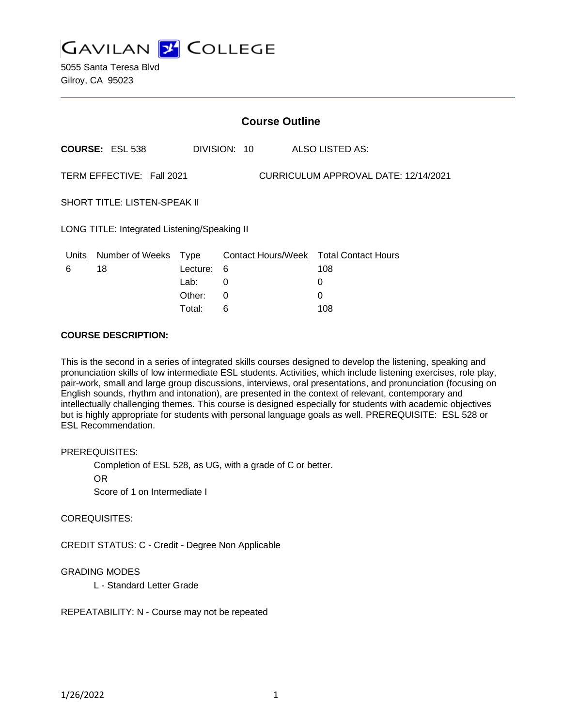

5055 Santa Teresa Blvd Gilroy, CA 95023

|                                                                   | <b>Course Outline</b>  |          |              |  |                                        |  |  |
|-------------------------------------------------------------------|------------------------|----------|--------------|--|----------------------------------------|--|--|
|                                                                   | <b>COURSE: ESL 538</b> |          | DIVISION: 10 |  | ALSO LISTED AS:                        |  |  |
| TERM EFFECTIVE: Fall 2021<br>CURRICULUM APPROVAL DATE: 12/14/2021 |                        |          |              |  |                                        |  |  |
| <b>SHORT TITLE: LISTEN-SPEAK II</b>                               |                        |          |              |  |                                        |  |  |
| LONG TITLE: Integrated Listening/Speaking II                      |                        |          |              |  |                                        |  |  |
| Units                                                             | Number of Weeks Type   |          |              |  | Contact Hours/Week Total Contact Hours |  |  |
| 6                                                                 | 18                     | Lecture: | 6            |  | 108                                    |  |  |
|                                                                   |                        | Lab:     | 0            |  | 0                                      |  |  |

Other: 0 0 Total: 6 108

#### **COURSE DESCRIPTION:**

This is the second in a series of integrated skills courses designed to develop the listening, speaking and pronunciation skills of low intermediate ESL students. Activities, which include listening exercises, role play, pair-work, small and large group discussions, interviews, oral presentations, and pronunciation (focusing on English sounds, rhythm and intonation), are presented in the context of relevant, contemporary and intellectually challenging themes. This course is designed especially for students with academic objectives but is highly appropriate for students with personal language goals as well. PREREQUISITE: ESL 528 or ESL Recommendation.

#### PREREQUISITES:

Completion of ESL 528, as UG, with a grade of C or better.

OR

Score of 1 on Intermediate I

#### COREQUISITES:

CREDIT STATUS: C - Credit - Degree Non Applicable

#### GRADING MODES

L - Standard Letter Grade

REPEATABILITY: N - Course may not be repeated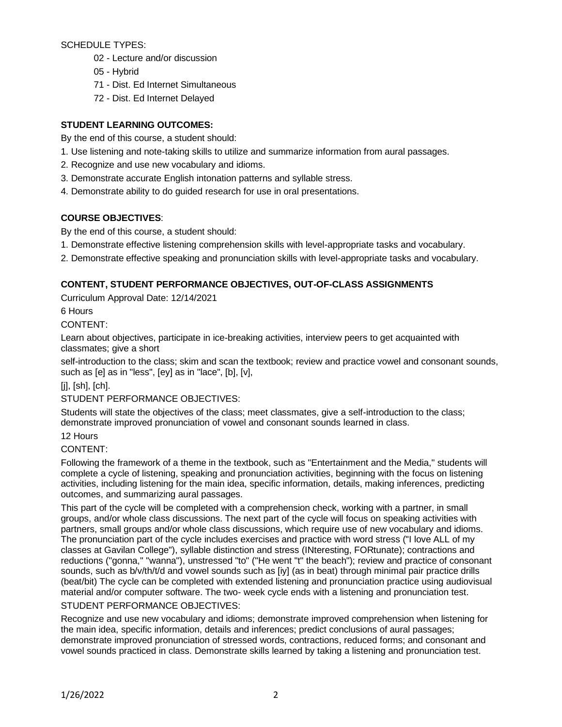SCHEDULE TYPES:

- 02 Lecture and/or discussion
- 05 Hybrid
- 71 Dist. Ed Internet Simultaneous
- 72 Dist. Ed Internet Delayed

# **STUDENT LEARNING OUTCOMES:**

By the end of this course, a student should:

- 1. Use listening and note-taking skills to utilize and summarize information from aural passages.
- 2. Recognize and use new vocabulary and idioms.
- 3. Demonstrate accurate English intonation patterns and syllable stress.
- 4. Demonstrate ability to do guided research for use in oral presentations.

# **COURSE OBJECTIVES**:

By the end of this course, a student should:

- 1. Demonstrate effective listening comprehension skills with level-appropriate tasks and vocabulary.
- 2. Demonstrate effective speaking and pronunciation skills with level-appropriate tasks and vocabulary.

# **CONTENT, STUDENT PERFORMANCE OBJECTIVES, OUT-OF-CLASS ASSIGNMENTS**

Curriculum Approval Date: 12/14/2021

6 Hours

CONTENT:

Learn about objectives, participate in ice-breaking activities, interview peers to get acquainted with classmates; give a short

self-introduction to the class; skim and scan the textbook; review and practice vowel and consonant sounds, such as [e] as in "less", [ey] as in "lace", [b], [v],

 $[i]$ ,  $[sh]$ ,  $[ch]$ .

### STUDENT PERFORMANCE OBJECTIVES:

Students will state the objectives of the class; meet classmates, give a self-introduction to the class; demonstrate improved pronunciation of vowel and consonant sounds learned in class.

12 Hours

### CONTENT:

Following the framework of a theme in the textbook, such as "Entertainment and the Media," students will complete a cycle of listening, speaking and pronunciation activities, beginning with the focus on listening activities, including listening for the main idea, specific information, details, making inferences, predicting outcomes, and summarizing aural passages.

This part of the cycle will be completed with a comprehension check, working with a partner, in small groups, and/or whole class discussions. The next part of the cycle will focus on speaking activities with partners, small groups and/or whole class discussions, which require use of new vocabulary and idioms. The pronunciation part of the cycle includes exercises and practice with word stress ("I love ALL of my classes at Gavilan College"), syllable distinction and stress (INteresting, FORtunate); contractions and reductions ("gonna," "wanna"), unstressed "to" ("He went "t" the beach"); review and practice of consonant sounds, such as b/v/th/t/d and vowel sounds such as [iy] (as in beat) through minimal pair practice drills (beat/bit) The cycle can be completed with extended listening and pronunciation practice using audiovisual material and/or computer software. The two- week cycle ends with a listening and pronunciation test. STUDENT PERFORMANCE OBJECTIVES:

Recognize and use new vocabulary and idioms; demonstrate improved comprehension when listening for the main idea, specific information, details and inferences; predict conclusions of aural passages; demonstrate improved pronunciation of stressed words, contractions, reduced forms; and consonant and vowel sounds practiced in class. Demonstrate skills learned by taking a listening and pronunciation test.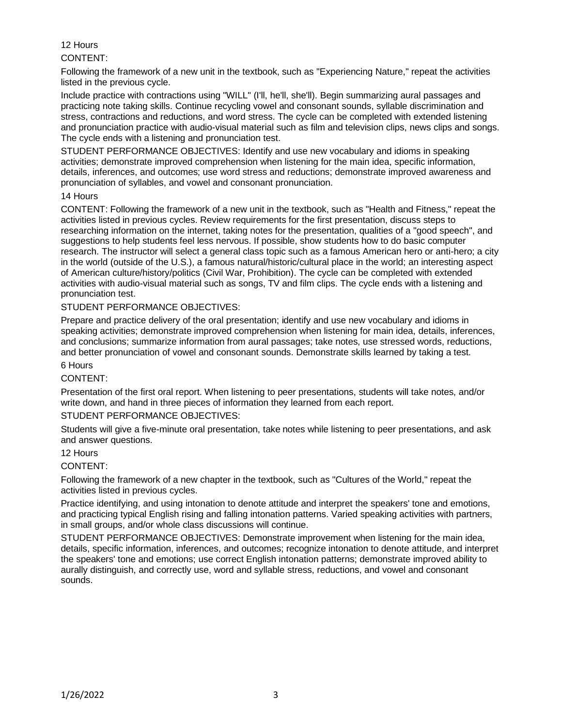# 12 Hours

### CONTENT:

Following the framework of a new unit in the textbook, such as "Experiencing Nature," repeat the activities listed in the previous cycle.

Include practice with contractions using "WILL" (I'll, he'll, she'll). Begin summarizing aural passages and practicing note taking skills. Continue recycling vowel and consonant sounds, syllable discrimination and stress, contractions and reductions, and word stress. The cycle can be completed with extended listening and pronunciation practice with audio-visual material such as film and television clips, news clips and songs. The cycle ends with a listening and pronunciation test.

STUDENT PERFORMANCE OBJECTIVES: Identify and use new vocabulary and idioms in speaking activities; demonstrate improved comprehension when listening for the main idea, specific information, details, inferences, and outcomes; use word stress and reductions; demonstrate improved awareness and pronunciation of syllables, and vowel and consonant pronunciation.

#### 14 Hours

CONTENT: Following the framework of a new unit in the textbook, such as "Health and Fitness," repeat the activities listed in previous cycles. Review requirements for the first presentation, discuss steps to researching information on the internet, taking notes for the presentation, qualities of a "good speech", and suggestions to help students feel less nervous. If possible, show students how to do basic computer research. The instructor will select a general class topic such as a famous American hero or anti-hero; a city in the world (outside of the U.S.), a famous natural/historic/cultural place in the world; an interesting aspect of American culture/history/politics (Civil War, Prohibition). The cycle can be completed with extended activities with audio-visual material such as songs, TV and film clips. The cycle ends with a listening and pronunciation test.

### STUDENT PERFORMANCE OBJECTIVES:

Prepare and practice delivery of the oral presentation; identify and use new vocabulary and idioms in speaking activities; demonstrate improved comprehension when listening for main idea, details, inferences, and conclusions; summarize information from aural passages; take notes, use stressed words, reductions, and better pronunciation of vowel and consonant sounds. Demonstrate skills learned by taking a test.

### 6 Hours

### CONTENT:

Presentation of the first oral report. When listening to peer presentations, students will take notes, and/or write down, and hand in three pieces of information they learned from each report.

### STUDENT PERFORMANCE OBJECTIVES:

Students will give a five-minute oral presentation, take notes while listening to peer presentations, and ask and answer questions.

#### 12 Hours

### CONTENT:

Following the framework of a new chapter in the textbook, such as "Cultures of the World," repeat the activities listed in previous cycles.

Practice identifying, and using intonation to denote attitude and interpret the speakers' tone and emotions, and practicing typical English rising and falling intonation patterns. Varied speaking activities with partners, in small groups, and/or whole class discussions will continue.

STUDENT PERFORMANCE OBJECTIVES: Demonstrate improvement when listening for the main idea, details, specific information, inferences, and outcomes; recognize intonation to denote attitude, and interpret the speakers' tone and emotions; use correct English intonation patterns; demonstrate improved ability to aurally distinguish, and correctly use, word and syllable stress, reductions, and vowel and consonant sounds.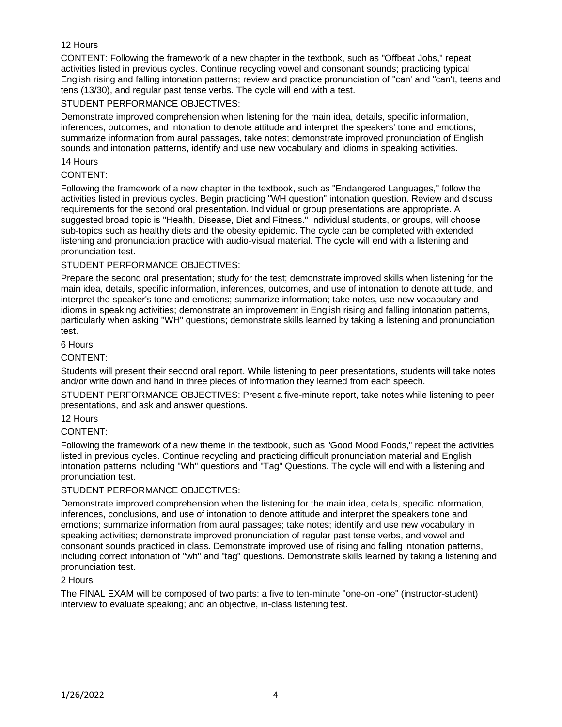### 12 Hours

CONTENT: Following the framework of a new chapter in the textbook, such as "Offbeat Jobs," repeat activities listed in previous cycles. Continue recycling vowel and consonant sounds; practicing typical English rising and falling intonation patterns; review and practice pronunciation of "can' and "can't, teens and tens (13/30), and regular past tense verbs. The cycle will end with a test.

### STUDENT PERFORMANCE OBJECTIVES:

Demonstrate improved comprehension when listening for the main idea, details, specific information, inferences, outcomes, and intonation to denote attitude and interpret the speakers' tone and emotions; summarize information from aural passages, take notes; demonstrate improved pronunciation of English sounds and intonation patterns, identify and use new vocabulary and idioms in speaking activities.

#### 14 Hours

### CONTENT:

Following the framework of a new chapter in the textbook, such as "Endangered Languages," follow the activities listed in previous cycles. Begin practicing "WH question" intonation question. Review and discuss requirements for the second oral presentation. Individual or group presentations are appropriate. A suggested broad topic is "Health, Disease, Diet and Fitness." Individual students, or groups, will choose sub-topics such as healthy diets and the obesity epidemic. The cycle can be completed with extended listening and pronunciation practice with audio-visual material. The cycle will end with a listening and pronunciation test.

### STUDENT PERFORMANCE OBJECTIVES:

Prepare the second oral presentation; study for the test; demonstrate improved skills when listening for the main idea, details, specific information, inferences, outcomes, and use of intonation to denote attitude, and interpret the speaker's tone and emotions; summarize information; take notes, use new vocabulary and idioms in speaking activities; demonstrate an improvement in English rising and falling intonation patterns, particularly when asking "WH" questions; demonstrate skills learned by taking a listening and pronunciation test.

#### 6 Hours

#### CONTENT:

Students will present their second oral report. While listening to peer presentations, students will take notes and/or write down and hand in three pieces of information they learned from each speech.

STUDENT PERFORMANCE OBJECTIVES: Present a five-minute report, take notes while listening to peer presentations, and ask and answer questions.

#### 12 Hours

### CONTENT:

Following the framework of a new theme in the textbook, such as "Good Mood Foods," repeat the activities listed in previous cycles. Continue recycling and practicing difficult pronunciation material and English intonation patterns including "Wh" questions and "Tag" Questions. The cycle will end with a listening and pronunciation test.

#### STUDENT PERFORMANCE OBJECTIVES:

Demonstrate improved comprehension when the listening for the main idea, details, specific information, inferences, conclusions, and use of intonation to denote attitude and interpret the speakers tone and emotions; summarize information from aural passages; take notes; identify and use new vocabulary in speaking activities; demonstrate improved pronunciation of regular past tense verbs, and vowel and consonant sounds practiced in class. Demonstrate improved use of rising and falling intonation patterns, including correct intonation of "wh" and "tag" questions. Demonstrate skills learned by taking a listening and pronunciation test.

#### 2 Hours

The FINAL EXAM will be composed of two parts: a five to ten-minute "one-on -one" (instructor-student) interview to evaluate speaking; and an objective, in-class listening test.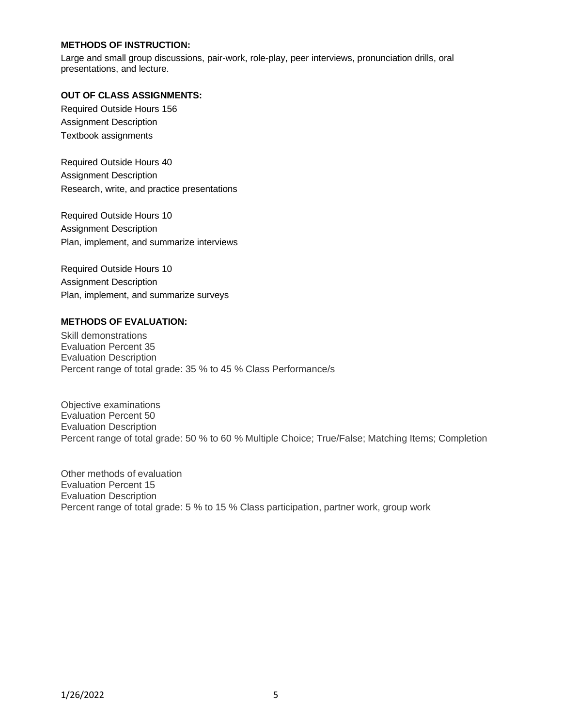### **METHODS OF INSTRUCTION:**

Large and small group discussions, pair-work, role-play, peer interviews, pronunciation drills, oral presentations, and lecture.

### **OUT OF CLASS ASSIGNMENTS:**

Required Outside Hours 156 Assignment Description Textbook assignments

Required Outside Hours 40 Assignment Description Research, write, and practice presentations

Required Outside Hours 10 Assignment Description Plan, implement, and summarize interviews

Required Outside Hours 10 Assignment Description Plan, implement, and summarize surveys

#### **METHODS OF EVALUATION:**

Skill demonstrations Evaluation Percent 35 Evaluation Description Percent range of total grade: 35 % to 45 % Class Performance/s

Objective examinations Evaluation Percent 50 Evaluation Description Percent range of total grade: 50 % to 60 % Multiple Choice; True/False; Matching Items; Completion

Other methods of evaluation Evaluation Percent 15 Evaluation Description Percent range of total grade: 5 % to 15 % Class participation, partner work, group work